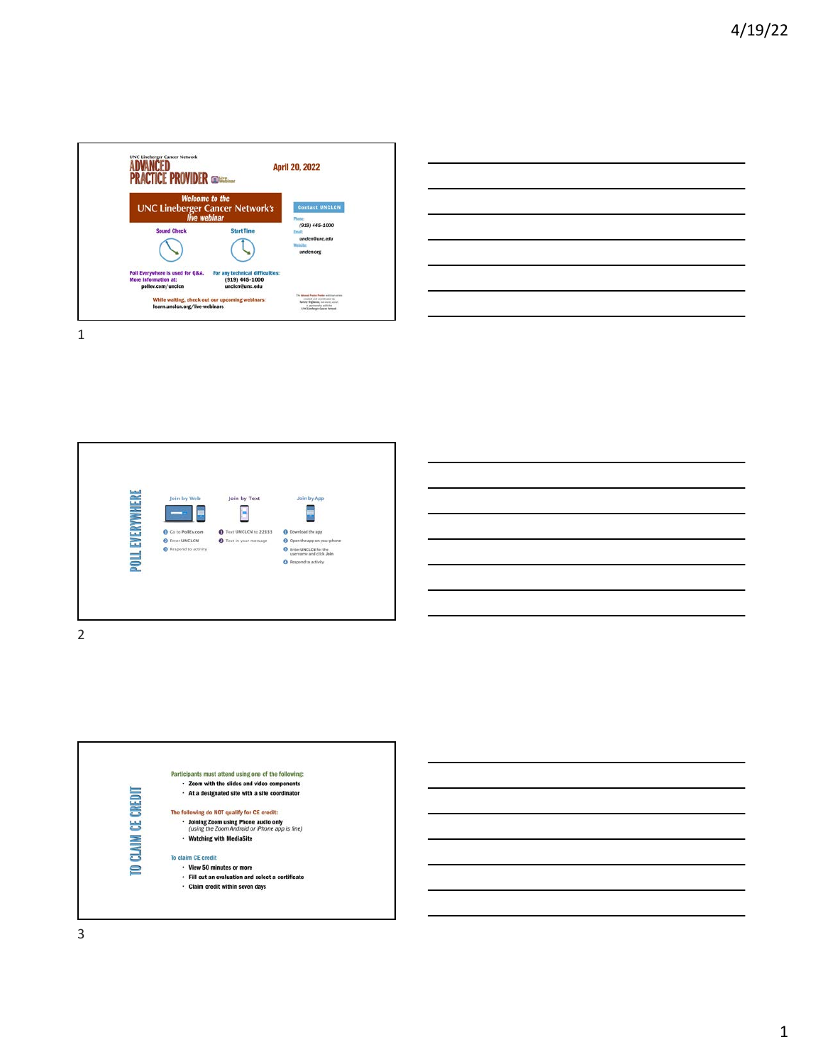

| <u> 1989 - Andrea Andrew Maria (h. 1989).</u> |          |  |
|-----------------------------------------------|----------|--|
|                                               |          |  |
|                                               |          |  |
|                                               |          |  |
|                                               |          |  |
|                                               |          |  |
|                                               |          |  |
|                                               |          |  |
|                                               | ________ |  |
|                                               |          |  |
|                                               |          |  |
|                                               |          |  |





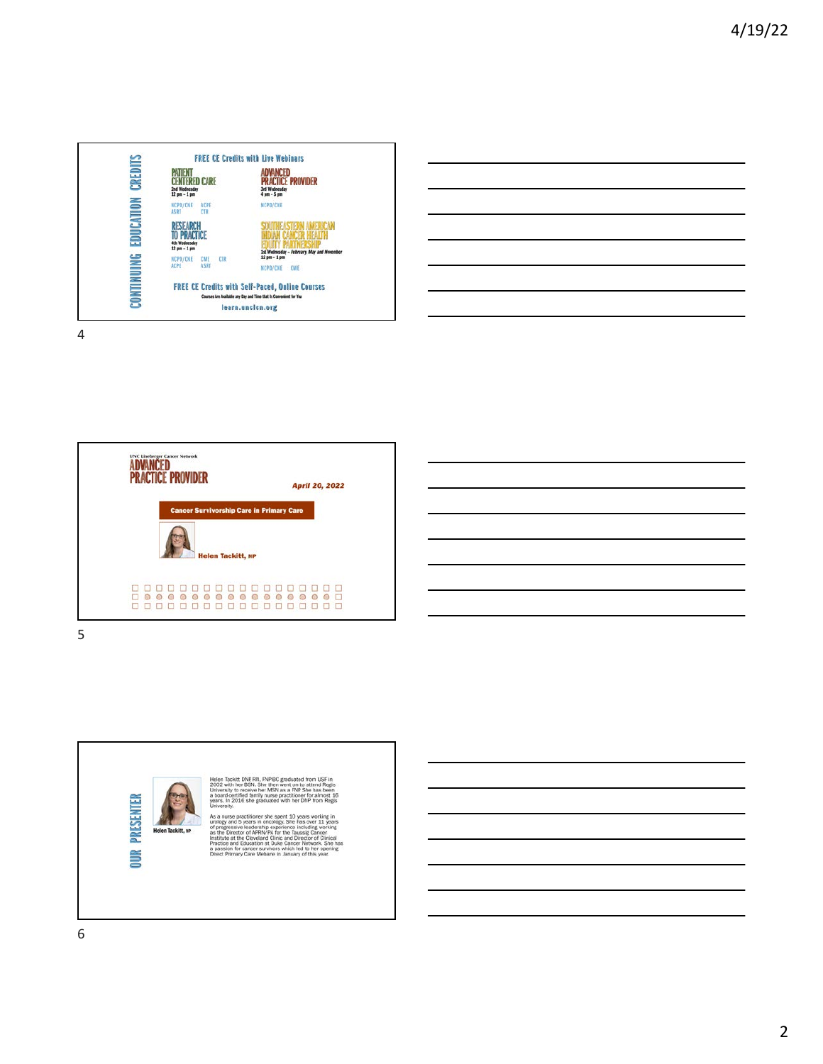

| <b>这个人的人都是一个人的人,我们也不能在这个人的人,我们也不能在这个人的人,我们也不能在这个人的人,我们也不能在这个人的人,我们也不能在这个人的人,</b>                                                                                                                                              |  |  |
|-------------------------------------------------------------------------------------------------------------------------------------------------------------------------------------------------------------------------------|--|--|
| <u> 1989 - Johann Barn, mars ann an t-Amhain ann an t-Amhain ann an t-Amhain ann an t-Amhain an t-Amhain ann an t-</u>                                                                                                        |  |  |
| <u> 1989 - Johann Stoff, amerikansk politiker (d. 1989)</u>                                                                                                                                                                   |  |  |
| <u> 1989 - Johann Stoff, amerikansk politiker (d. 1989)</u>                                                                                                                                                                   |  |  |
| <u> 1989 - Johann Barn, mars ann an t-Amhain ann an t-Amhain ann an t-Amhain ann an t-Amhain an t-Amhain ann an t-</u>                                                                                                        |  |  |
| <u> 1989 - Johann Stoff, amerikansk politiker (d. 1989)</u>                                                                                                                                                                   |  |  |
| the control of the control of the control of the control of the control of the control of the control of the control of the control of the control of the control of the control of the control of the control of the control |  |  |

 $\overline{a}$ 

L,

 $\overline{\phantom{0}}$ 

-

 $\overline{a}$ 

 $\overline{a}$ 

4





She then went on to<br>her MSN as a FNP 3 wiui in<br>sity to **DUR PRESENTER** university and System and Systems and Systems working and Systems in oncology. She has over 11 or progressive leadership experience including was the Director of APNN (PA for the Bussel Cancel Protection of the Cheveland C .<br>Helen Tackitt, NF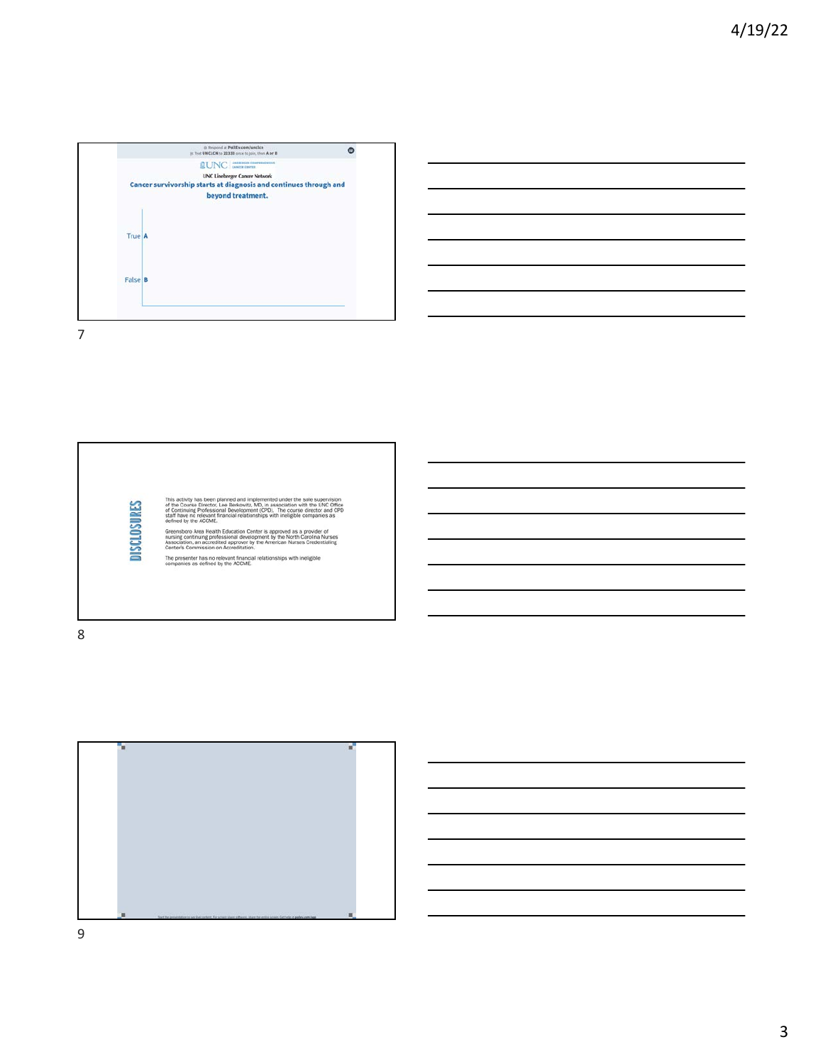







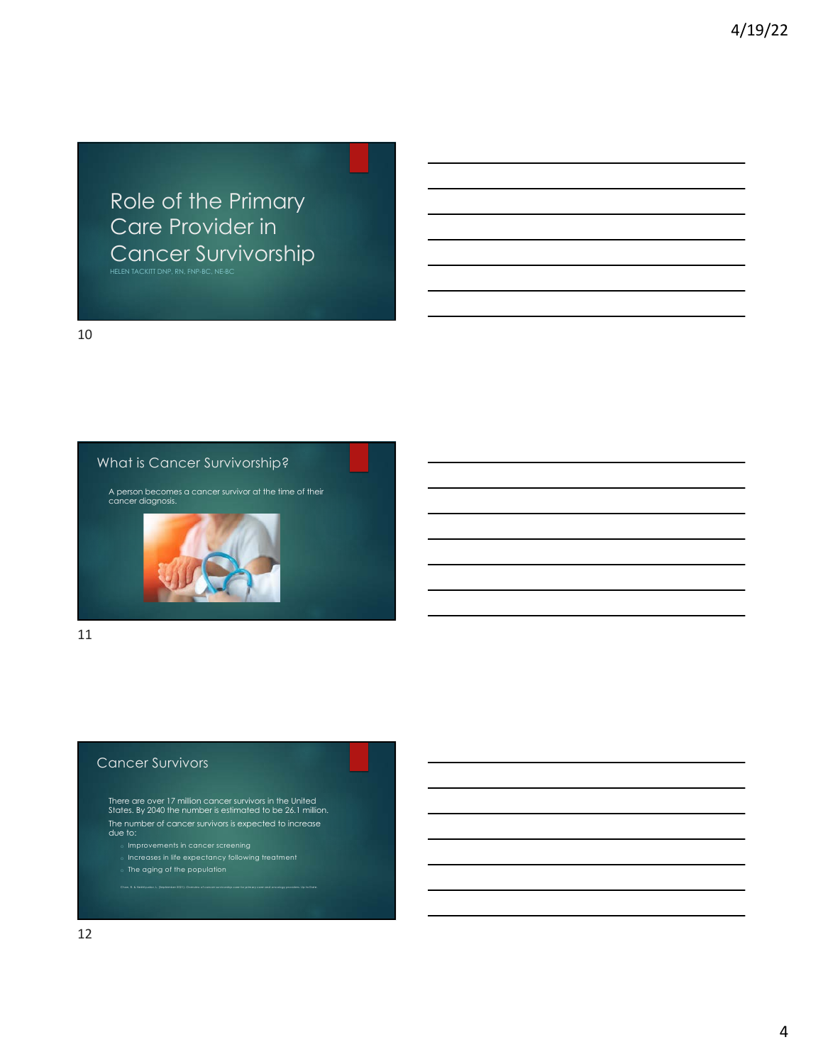Role of the Primary Care Provider in Cancer Survivorship

10

### What is Cancer Survivorship?

A person becomes a cancer survivor at the time of their cancer diagnosis.



11

### Cancer Survivors

There are over 17 million cancer survivors in the United States. By 2040 the number is estimated to be 26.1 million. The number of cancer survivors is expected to increase due to:

Chan, R. & Nekhlyudov, L. (September 2021). *Overview of cancer survivorship care for primary care and oncology providers.* Up to Date.

- o Improvements in cancer screening
- $\,$  Increases in life expectancy following treatment
- o The aging of the population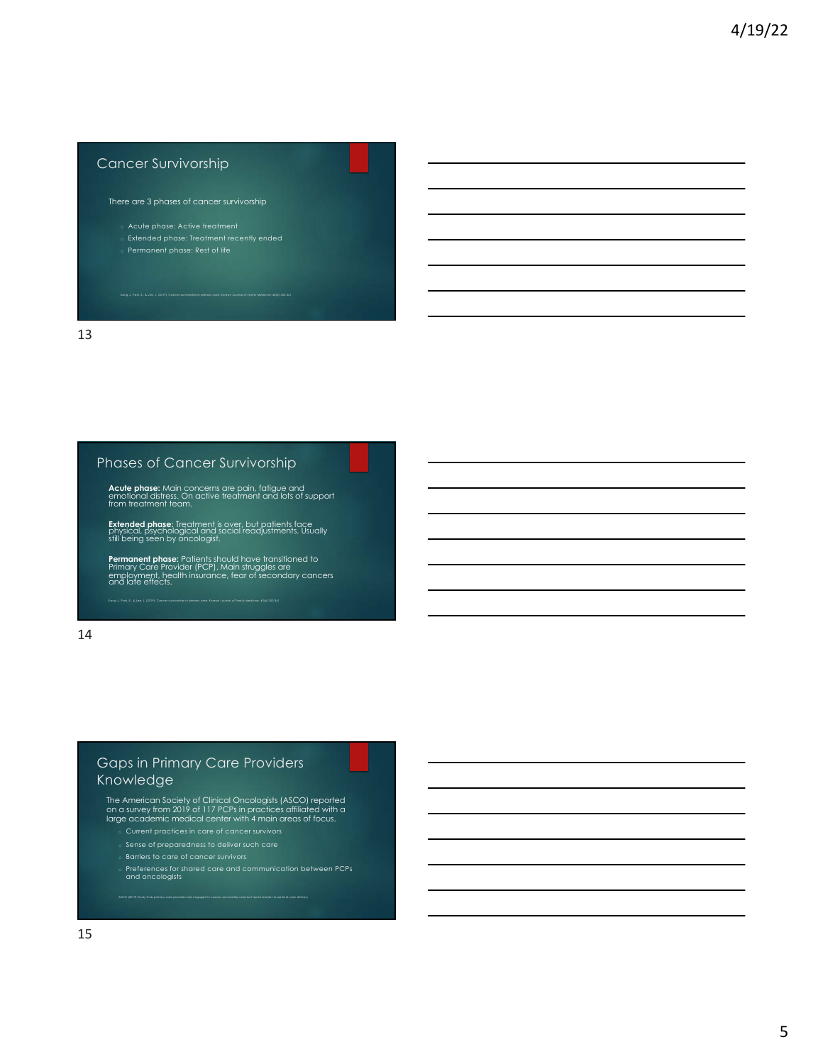# Cancer Survivorship

There are 3 phases of cancer survivorship

- 
- 
- 

13

### Phases of Cancer Survivorship

**Acute phase:** Main concerns are pain, fatigue and<br>emotional distress. On active treatment and lots of support<br>from treatment team.

**Extended phase:** Treatment is over, but patients face<br>physical, psychological and social readjustments. Usually<br>still being seen by oncologist.

**Permanent phase:** Patients should have transitioned to<br>Primary Care Provider (PCP). Main struggles are<br>employment, health insurance, fear of secondary cancers<br>and late effects.

14

# Gaps in Primary Care Providers Knowledge

The American Society of Clinical Oncologists (ASCO) reported on a survey from 2019 of 117 PCPs in practices affiliated with a large academic medical center with 4 main areas of focus.

ASCO (2019) Study finds primary care providers are engaged in cancer survivorship care but report barriers to optimal care delivery

- o Sense of preparedness to deliver such care
- $\,$  Barriers to care of cancer survivors
- o Preferences for shared care and communication between PCPs and oncologists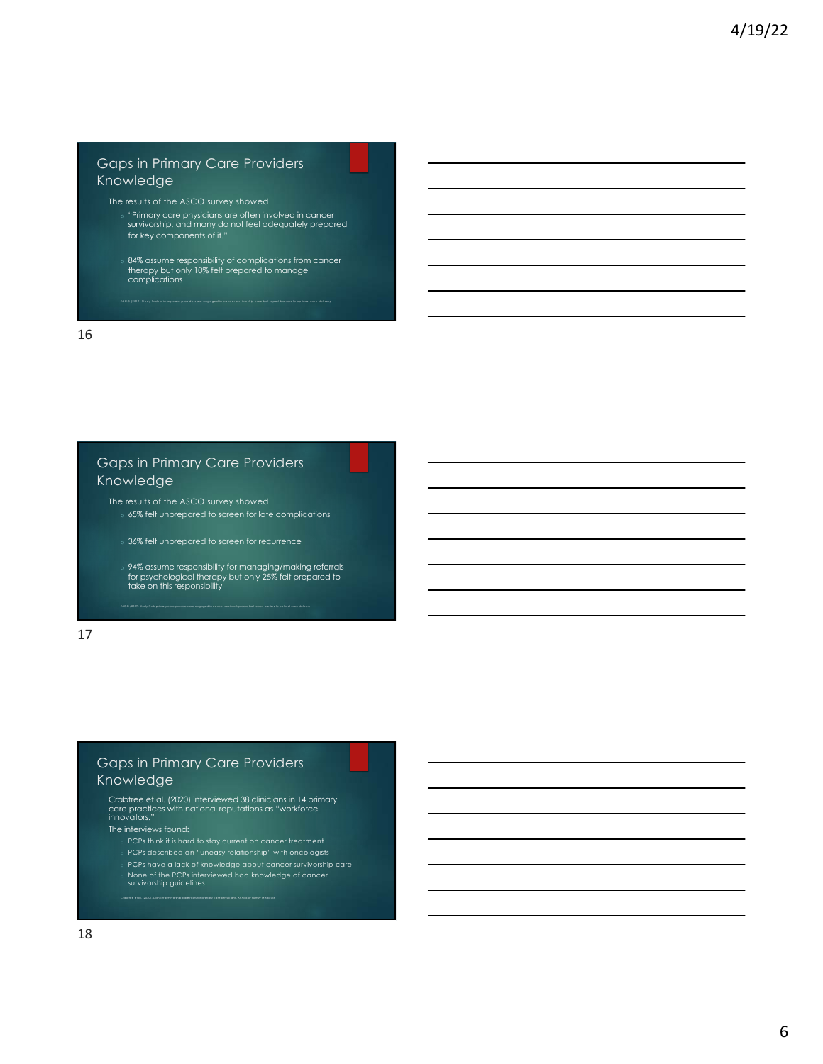# Gaps in Primary Care Providers Knowledge

- The results of the ASCO survey showed:
	- o "Primary care physicians are often involved in cancer survivorship, and many do not feel adequately prepared for key components of it."
	- o 84% assume responsibility of complications from cancer therapy but only 10% felt prepared to manage complications

.<br>As on timel care deliver

16

# Gaps in Primary Care Providers **Knowledge**

The results of the ASCO survey showed:

- o 65% felt unprepared to screen for late complications
- o 36% felt unprepared to screen for recurrence

ASCO (2019) Study finds primary care providers are engaged in cancer survivorship care but report barriers to optimal care delivery

o 94% assume responsibility for managing/making referrals for psychological therapy but only 25% felt prepared to take on this responsibility

17

## Gaps in Primary Care Providers Knowledge

Crabtree et al. (2020). Cancer survivorship care roles for primary care physicians. *Annals of Family Medicine* 

Crabtree et al. (2020) interviewed 38 clinicians in 14 primary care practices with national reputations as "workforce innovators."

The interviews found:

- 
- o PCPs described an "uneasy relationship" with oncologists
- o PCPs have a lack of knowledge about cancer survivorship care o None of the PCPs interviewed had knowledge of cancer survivorship guidelines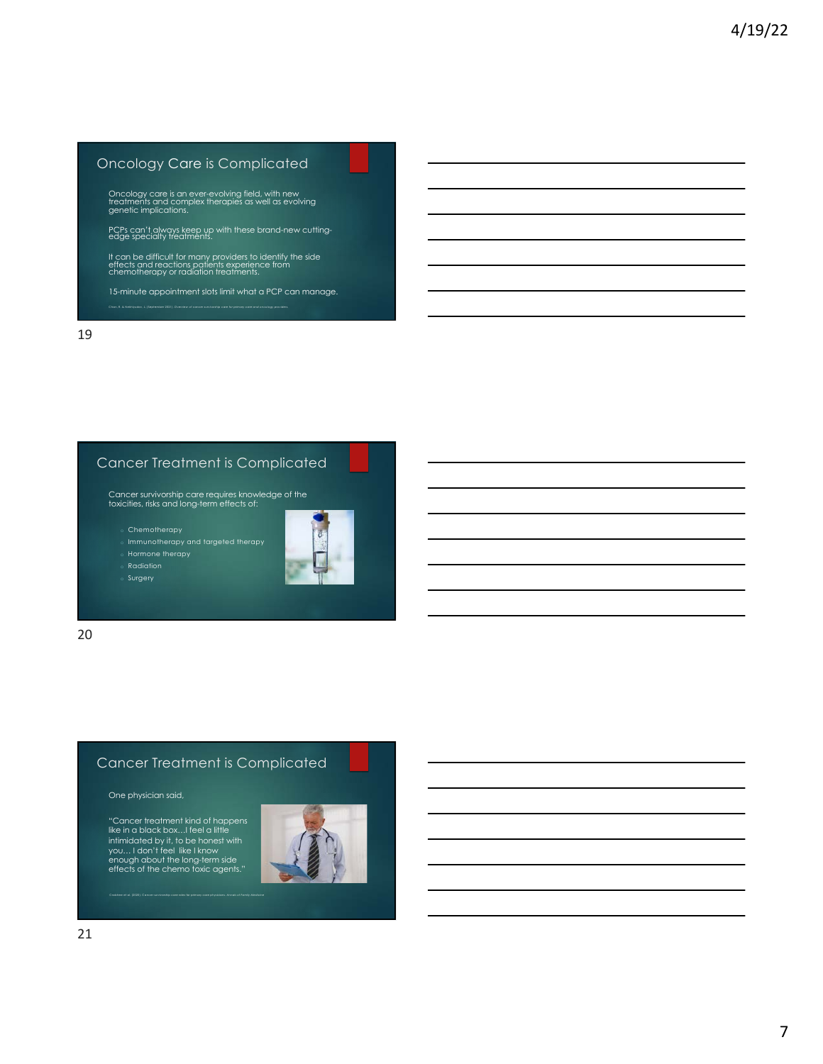# Oncology Care is Complicated

Oncology care is an ever-evolving field, with new treatments and complex therapies as well as evolving genetic implications.

PCPs can't always keep up with these brand-new cutting- edge specialty treatments.

It can be difficult for many providers to identify the side effects and reactions patients experience from chemotherapy or radiation treatments.

15-minute appointment slots limit what a PCP can manage.

19

# Cancer Treatment is Complicated

Cancer survivorship care requires knowledge of the toxicities, risks and long-term effects of:

o Chemotherapy



 $\sqrt{a}$  Radiation

Surgery



20

## Cancer Treatment is Complicated

One physician said,

"Cancer treatment kind of happens like in a black box…I feel a little intimidated by it, to be honest with you… I don't feel like I know enough about the long-term side effects of the chemo toxic agents."

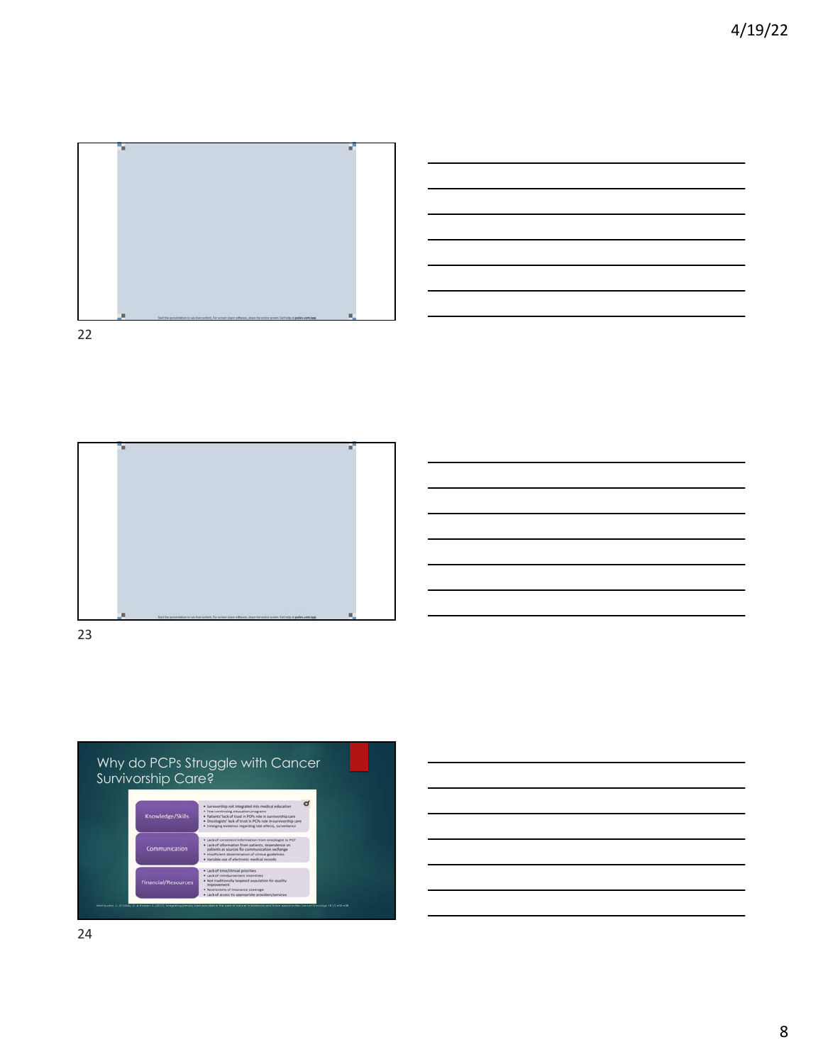





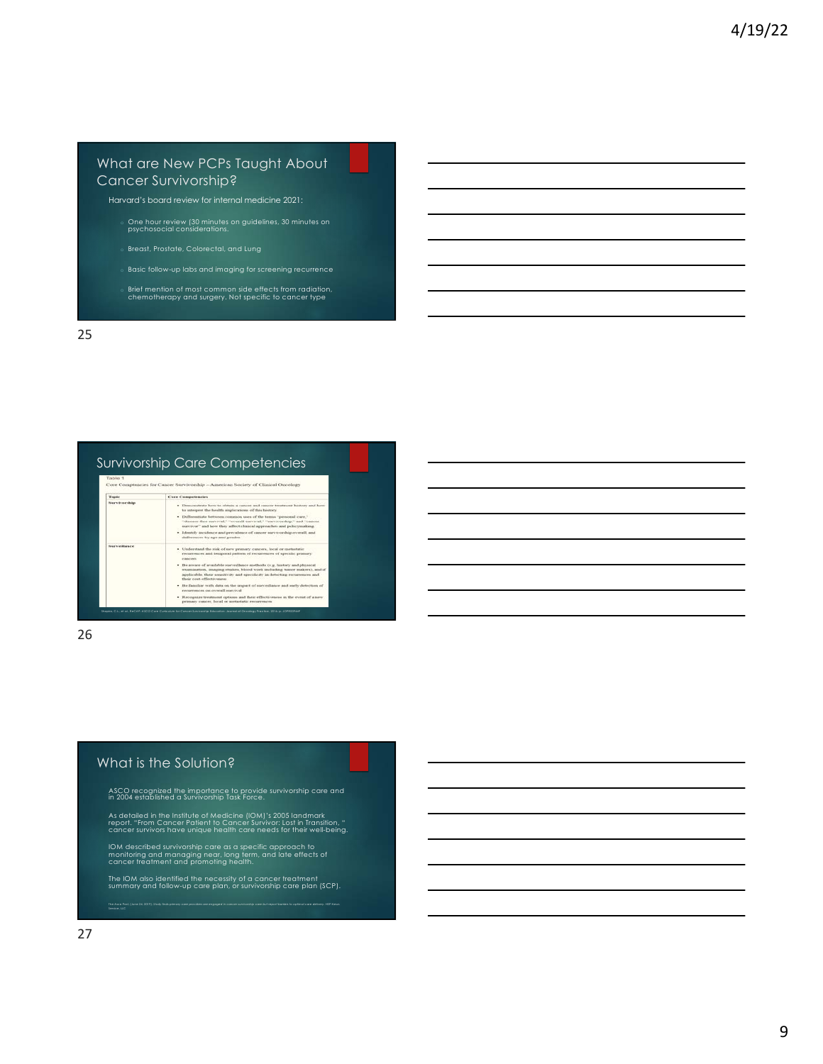## What are New PCPs Taught About Cancer Survivorship?

Harvard's board review for internal medicine 2021:

- o One hour review (30 minutes on guidelines, 30 minutes on psychosocial considerations.
- 
- Basic follow-up labs and imaging for screening recurrence
- o Brief mention of most common side effects from radiation, chemotherapy and surgery. Not specific to cancer type

25

| Survivorship Care Competencies |                                                                                  |  |
|--------------------------------|----------------------------------------------------------------------------------|--|
| Table 1                        |                                                                                  |  |
|                                | Core Comptencies for Cancer Survivorship - American Society of Clinical Oncolagy |  |
| <b>Topic</b>                   | Care Competencies                                                                |  |

| -----------         | . Demonstrate how to obtain a cancer and cancer treatment history and how<br>to interpret the health implications of this history.                                                                                                                             |
|---------------------|----------------------------------------------------------------------------------------------------------------------------------------------------------------------------------------------------------------------------------------------------------------|
|                     | . Differentiate between common uses of the terms "personal cure."<br>"disease-free survival." "assembl survival." "survivorship," and "cancer<br>survivor" and how they affect clinical approaches and polarymaking.                                           |
|                     | · Identify incidence and prevalence of cancer mevivorship overall, and<br>differences by age and pender.                                                                                                                                                       |
| <b>Surveillance</b> | . Understand the risk of new pramary cancers, local or metastatic<br>recurrences and temporal pattern of recurrences of specific primary<br>e autologie,                                                                                                       |
|                     | . Be aveare of available surveillance methods (e.g. hustory and physical<br>examination, imaging studies, blood work including tumor makers), and if<br>applicable, their sensitivity and specificity in detecting recurrences and<br>their cost-offectiveness |
|                     | The familiar with data on the impact of surveillance and early detection of<br>Inviving Bayers an announced                                                                                                                                                    |
|                     | . Becomplies treatment customs and their effectiveness in the event of a new<br>primary cancer, local or metastatic recurrences                                                                                                                                |

Shapiro, C.L., et al., *ReCAP: ASCO Core Curriculum for Cancer Survivorship Education.* Journal of Oncology Practice, 2016: p. JOPR009449.

26

### What is the Solution?

ASCO recognized the importance to provide survivorship care and in 2004 established a Survivorship Task Force.

As detailed in the Institute of Medicine (IOM)'s 2005 landmark<br>report. "From Cancer Patient to Cancer Survivor: Lost in Transition, "<br>cancer survivors have unique health care needs for their well-being.

IOM described survivorship care as a specific approach to monitoring and managing near, long term, and late effects of cancer treatment and promoting health.

The IOM also identified the necessity of a cancer treatment<br>summary and follow-up care plan, or survivorship care plan (SCP). The Asco Post, (June 24, 2019). *Study finds primary care providers are engaged in cancer survivorship care but report barriers to optimal care delivery*. HSP News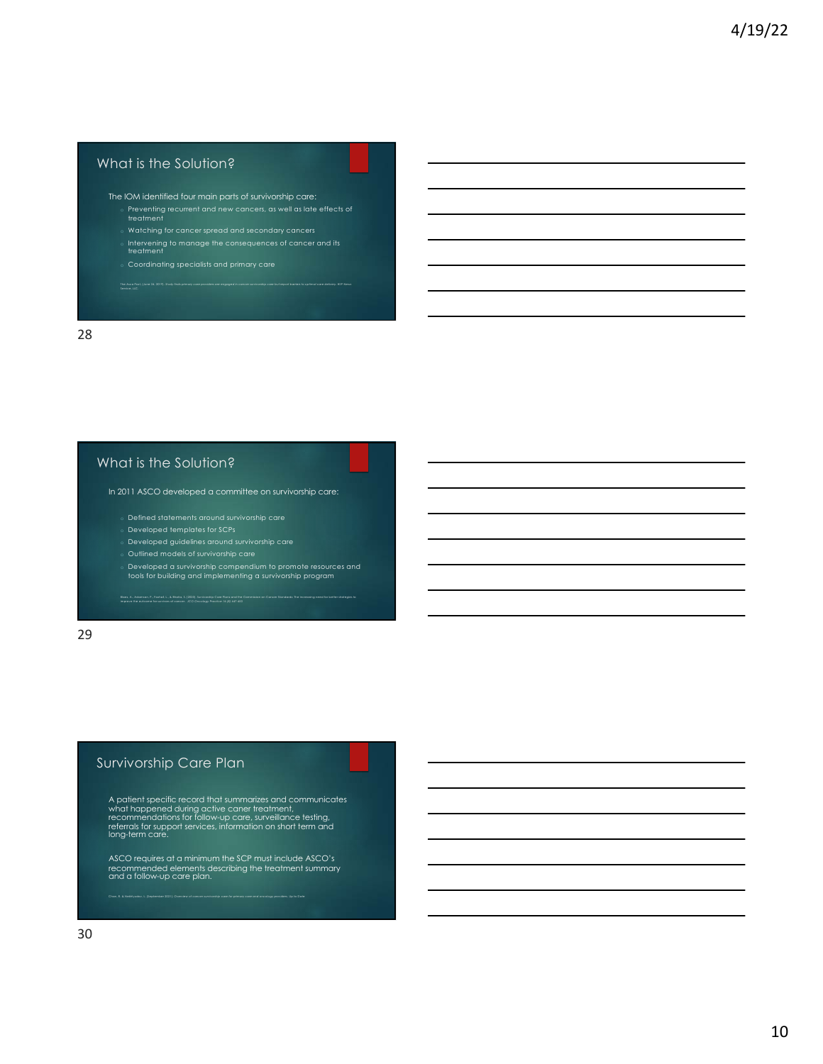### What is the Solution?

- The IOM identified four main parts of survivorship care:
	- Preventing recurrent and new cancers, as well as late effects of treatment
	-
	- o Intervening to manage the consequences of cancer and its treatment
	-

28

### What is the Solution?

In 2011 ASCO developed a committee on survivorship care:

- $\, \circ \,$  Defined statements around survivorship care
- o Developed templates for SCPs
- $\,\circ\,$  Developed guidelines around survivorship care
- 
- o Developed a survivorship compendium to promote resources and tools for building and implementing a survivorship program Baes, A., Adamsn, P., Fashal, L., & Brains, E. (2020). Sunivantip Care Plans and the Commission on Concer Standards: The increasing need for better shategies to<br>Improve the autoame for sunivars of cancer. JCO Oncology Prac

29

## Survivorship Care Plan

A patient specific record that summarizes and communicates<br>what happened during active caner treatment,<br>recommendations for follow-up care, surveillance testing,<br>referrals for support services, information on short term an

ASCO requires at a minimum the SCP must include ASCO's recommended elements describing the treatment summary and a follow-up care plan.

Chan, R. & Nekhlyudov, L. (September 2021). *Overview of cancer survivorship care for primary care and oncology providers.* Up to Date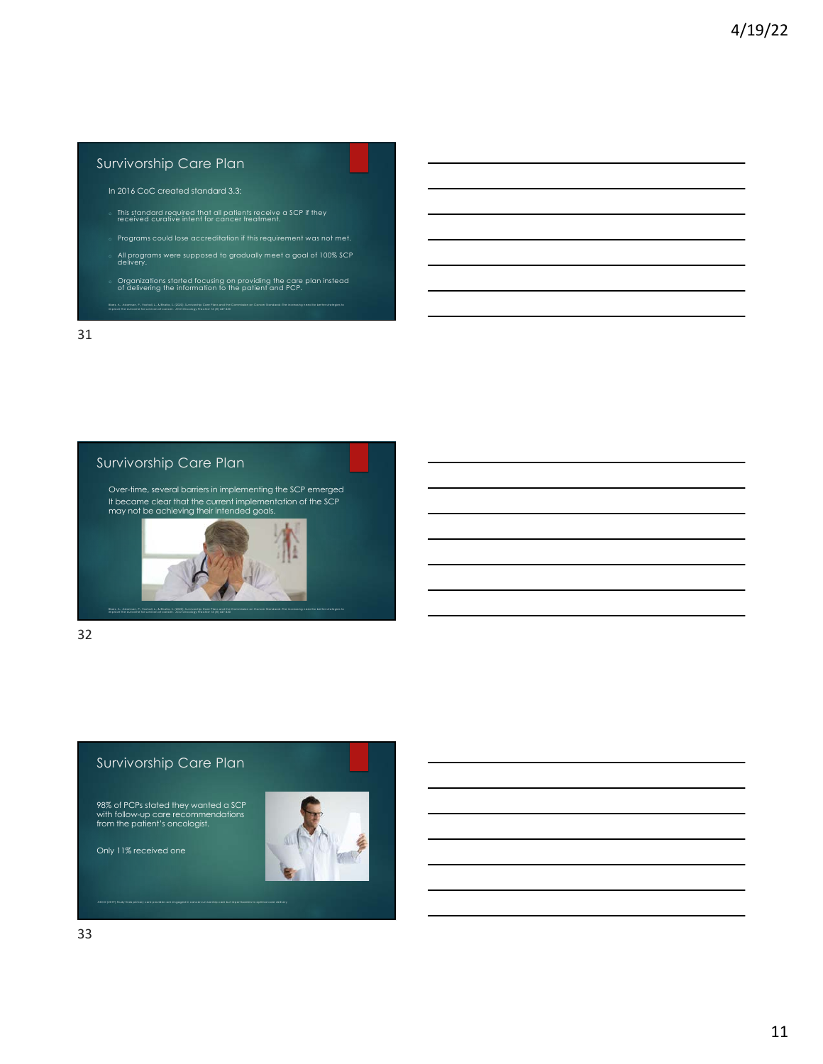## Survivorship Care Plan

In 2016 CoC created standard 3.3:

- o This standard required that all patients receive a SCP if they received curative intent for cancer treatment.
- Programs could lose accreditation if this requirement was not met.
- o All programs were supposed to gradually meet a goal of 100% SCP delivery.
- o Organizations started focusing on providing the care plan instead of delivering the information to the patient and PCP. Sbes, A., Adamson, P., Foshal, L., & Bhallo, S. (2020). Survivantip Care Plans and the Commission on Cancer Standards: The increasing need for better strategies to<br>Improve the outcome for survivars of cancer. JCO Oncoloav

31

# Survivorship Care Plan

Over-time, several barriers in implementing the SCP emerged It became clear that the current implementation of the SCP may not be achieving their intended goals.

Blaes, A., Adamson, P., Foxhall, L., & Bhatia, S. (2020). Survivorship Care Plans and the Commission on Cancer Standards: The increasing need for better strategies to

32

# Survivorship Care Plan

improve the outcome for survivors of cancer. *JCO Oncology Practice 16 (8)* 447-450

98% of PCPs stated they wanted a SCP with follow-up care recommendations from the patient's oncologist.

Only 11% received one

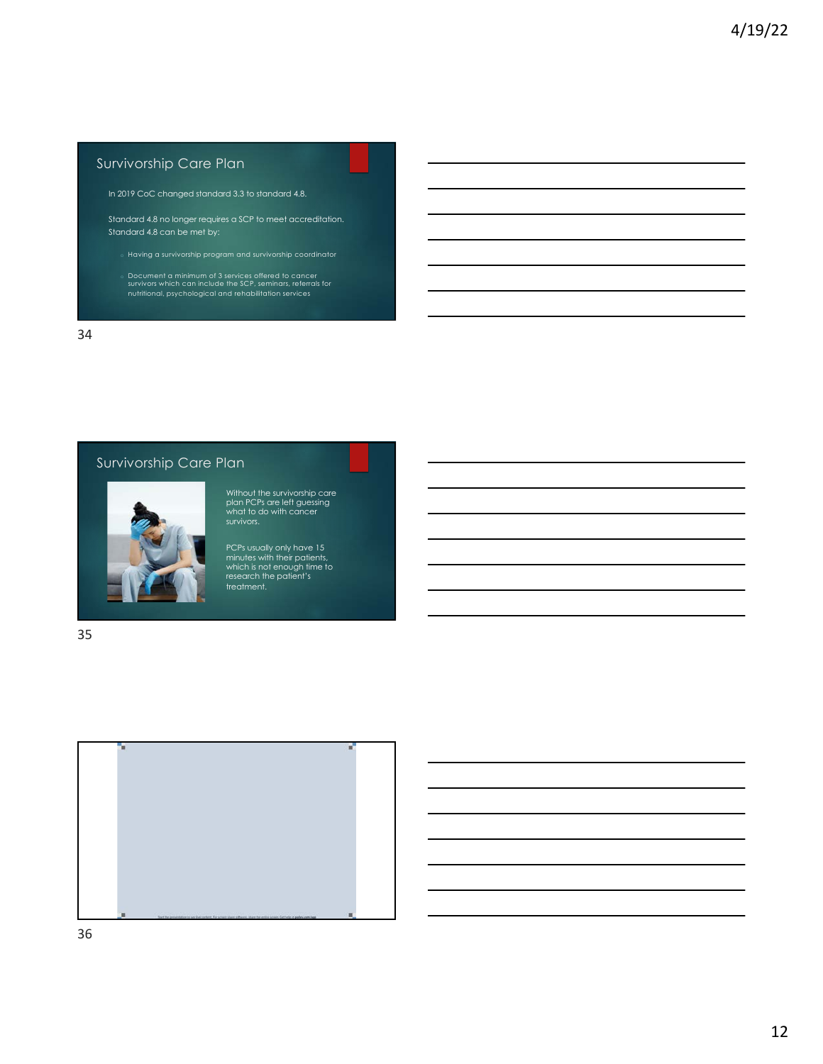# Survivorship Care Plan

In 2019 CoC changed standard 3.3 to standard 4.8.

Standard 4.8 no longer requires a SCP to meet accreditation. Standard 4.8 can be met by:

- 
- o Document a minimum of 3 services offered to cancer survivors which can include the SCP, seminars, referrals for nutritional, psychological and rehabilitation services

34

# Survivorship Care Plan



Without the survivorship care plan PCPs are left guessing what to do with cancer survivors.

PCPs usually only have 15 minutes with their patients, which is not enough time to research the patient's treatment.

35



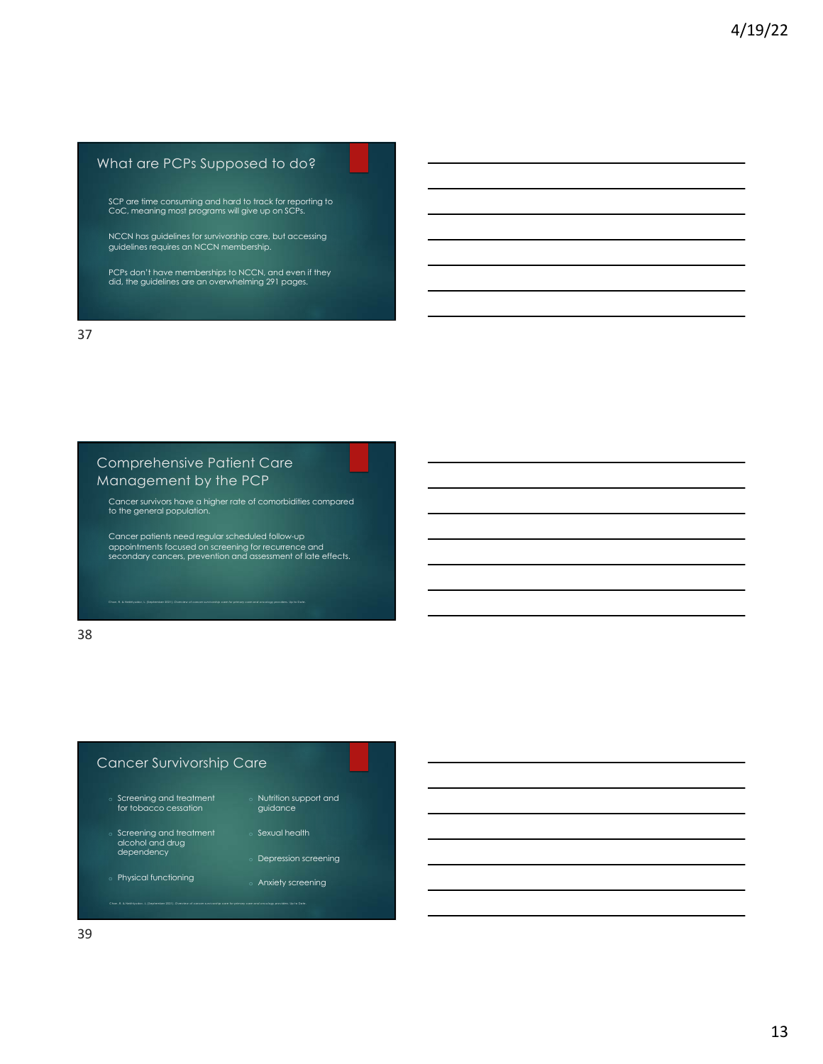# What are PCPs Supposed to do?

SCP are time consuming and hard to track for reporting to CoC, meaning most programs will give up on SCPs.

NCCN has guidelines for survivorship care, but accessing guidelines requires an NCCN membership.

PCPs don't have memberships to NCCN, and even if they did, the guidelines are an overwhelming 291 pages.

37

# Comprehensive Patient Care Management by the PCP

Cancer survivors have a higher rate of comorbidities compared to the general population.

Cancer patients need regular scheduled follow-up appointments focused on screening for recurrence and secondary cancers, prevention and assessment of late effects.

Chan, R. & Nekhlyudov, L. (September 2021). *Overview of cancer survivorship care for primary care and oncology providers.* Up to Date.

38

## Cancer Survivorship Care

- Screening and treatment for tobacco cessation
- Nutrition support and guidance
- o Screening and treatment alcohol and drug dependency

Chan, R. & Nekhlyudov, L. (September 2021). *Overview of cancer survivorship care for primary care and oncology providers.* Up to Date.

- o Physical functioning
- 
- Sexual health
- Depression screening
- Anxiety screening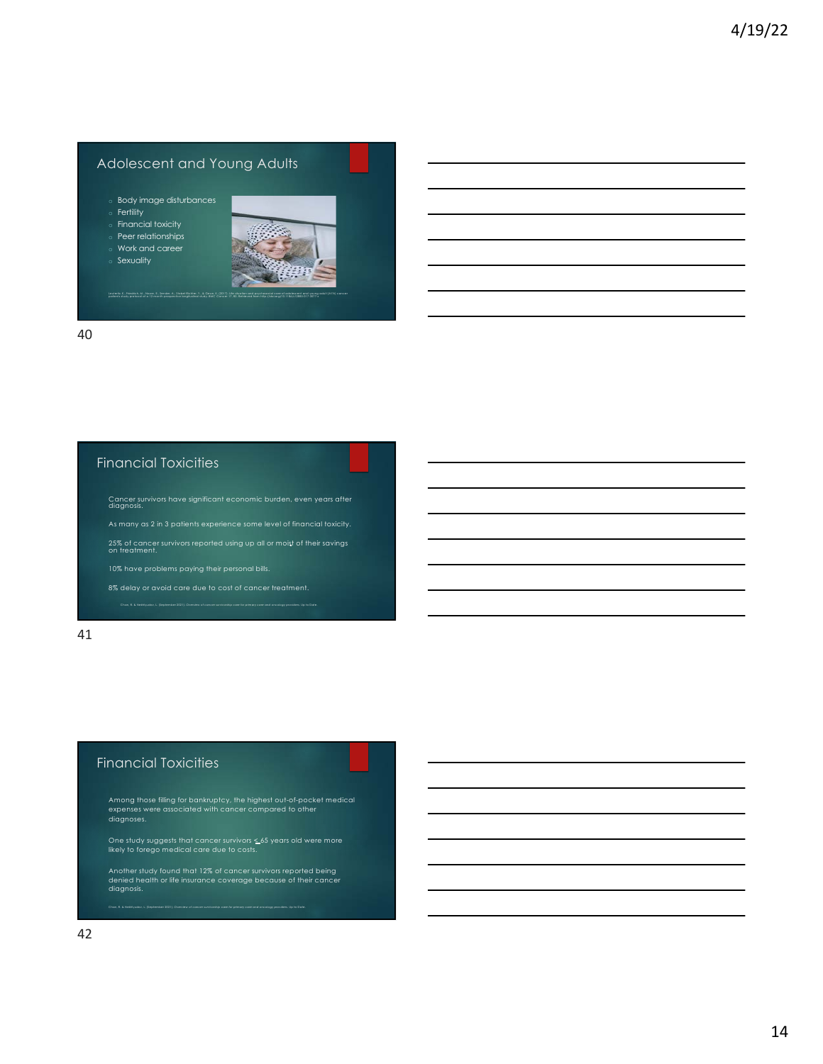## Adolescent and Young Adults

- o Body image disturbances
- o Fertility
- o Financial toxicity
- Peer relationships Work and career
- Sexuality



40

### Financial Toxicities

- Cancer survivors have significant economic burden, even years after diagnosis.
- 
- 25% of cancer survivors reported using up all or moist of their savings on treatment.
- 
- 

Chan, R. & Nekhlyudov, L. (September 2021). *Overview of cancer survivorship care for primary care and oncology providers.* Up to Date.

#### 41

# Financial Toxicities

Among those filling for bankruptcy, the highest out-of-pocket medical expenses were associated with cancer compared to other diagnoses.

One study suggests that cancer survivors < 65 years old were more likely to forego medical care due to costs.

Another study found that 12% of cancer survivors reported being denied health or life insurance coverage because of their cancer diagnosis.

Chan, R. & Nekhlyudov, L. (September 2021). *Overview of cancer survivorship care for primary care and oncology providers.* Up to Date.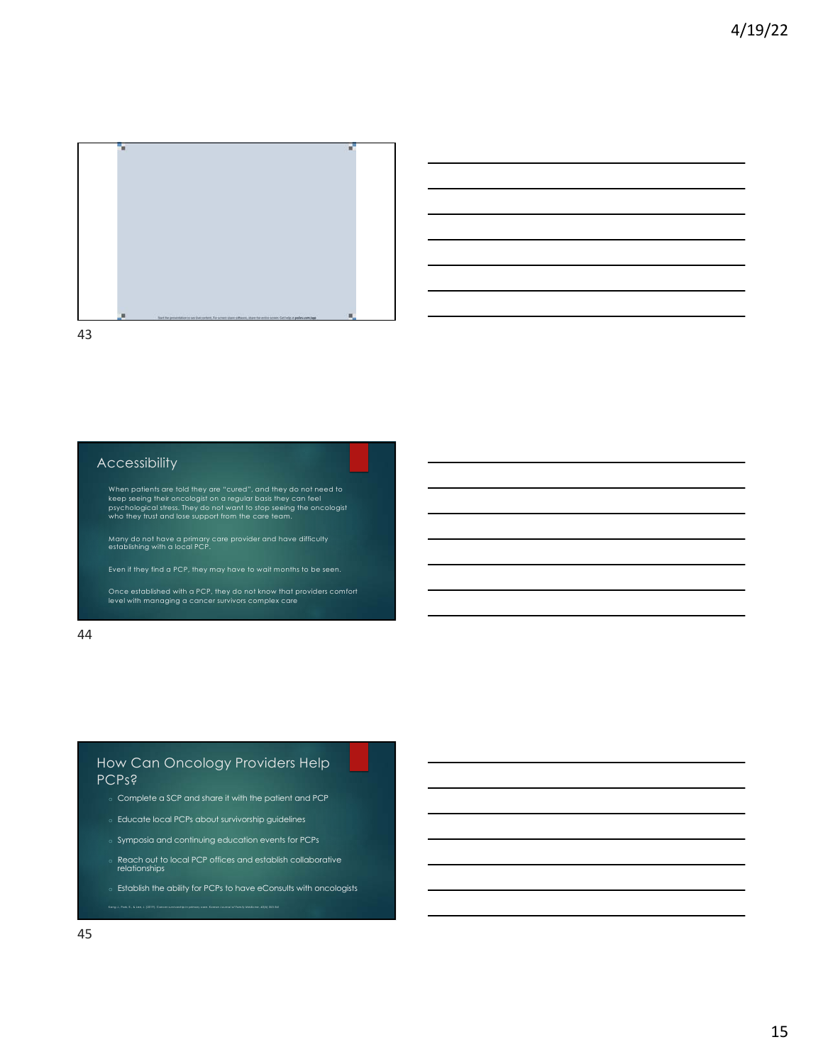



### Accessibility

When patients are told they are "cured", and they do not need to<br>keep seeing their oncologist on a regular basis they can feel<br>psychological stress. They do not want to stop seeing the oncologist<br>who they trust and lose su

Many do not have a primary care provider and have difficulty establishing with a local PCP.

Once established with a PCP, they do not know that providers comfort level with managing a cancer survivors complex care

44

## How Can Oncology Providers Help PCPs?

- o Complete a SCP and share it with the patient and PCP
- o Educate local PCPs about survivorship guidelines
- Symposia and continuing education events for PCPs

Kang J., Park, E., & Lee, J. (2019). Cancer survivorship in primary care. *Korean Journal of Family Medicine, 40(6)* 353-361

- o Reach out to local PCP offices and establish collaborative relationships
- o Establish the ability for PCPs to have eConsults with oncologists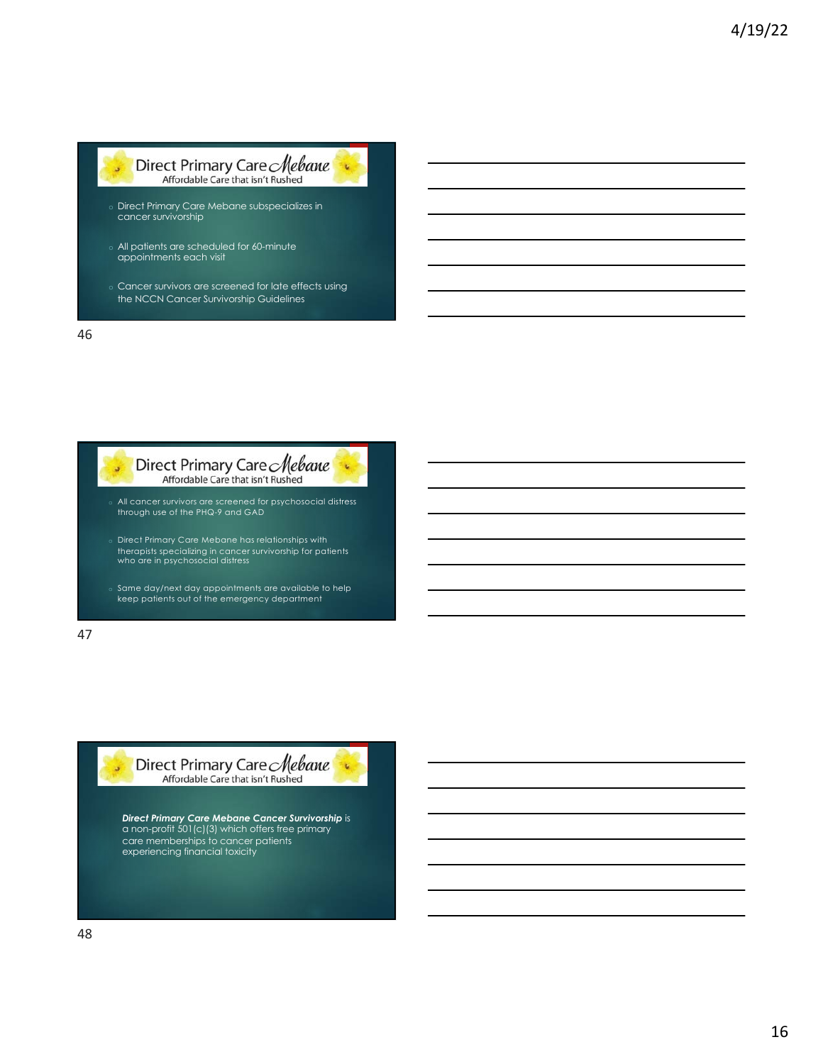

- o All patients are scheduled for 60-minute appointments each visit
- o Cancer survivors are screened for late effects using the NCCN Cancer Survivorship Guidelines

46



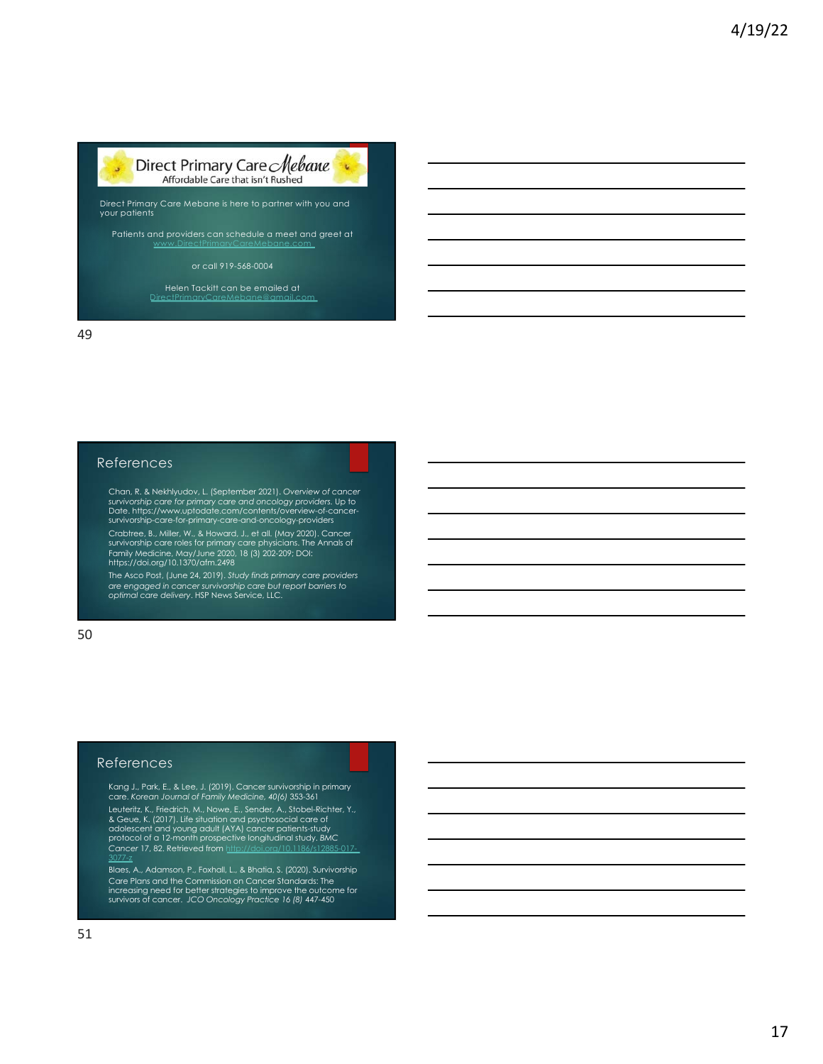

Patients and providers can schedule a meet and greet at [www.DirectPrimaryC](http://www.directprimarycaremebane.com/)areMebane.com

#### or call 919-568-0004

Helen Tackitt can be emailed at [DirectPrimaryCareMeb](mailto:DirectPrimaryCareMebane@gmail.com)ane@gmail.com

49

### References

Chan, R. & Nekhlyudov, L. (September 2021). *Overview of cancer*  survivorship care for primary care and oncology providers. Up to<br>Date. https://www.uptodate.com/contents/overview-of-cancer-<br>survivorship-care-for-primary-care-and-oncology-providers

Crabtree, B., Miller, W., & Howard, J., et all. (May 2020). Cancer survivorship care roles for primary care physicians. The Annals of Family Medicine, May/June 2020, 18 (3) 202-209; DOI: https://doi.org/10.1370/afm.2498

The Asco Post, (June 24, 2019). *Study finds primary care providers are engaged in cancer survivorship care but report barriers to optimal care delivery*. HSP News Service, LLC.

50

### References

Kang J., Park, E., & Lee, J. (2019). Cancer survivorship in primary care. *Korean Journal of Family Medicine, 40(6)* 353-361

Leuteritz, K., Friedrich, M., Nowe, E., Sender, A., Stobel-Richter, Y., 28 Geue, K. (2017). Life situation and psychosocial care of<br>8. Geue, K. (2017). Life situation and psychosocial care of<br>addescent and young adult (AYA

Blaes, A., Adamson, P., Foxhall, L., & Bhatia, S. (2020). Survivorship Care Plans and the Commission on Cancer Standards: The increasing need for better strategies to improve the outcome for survivors of cancer. *JCO Oncology Practice 16 (8)* 447-450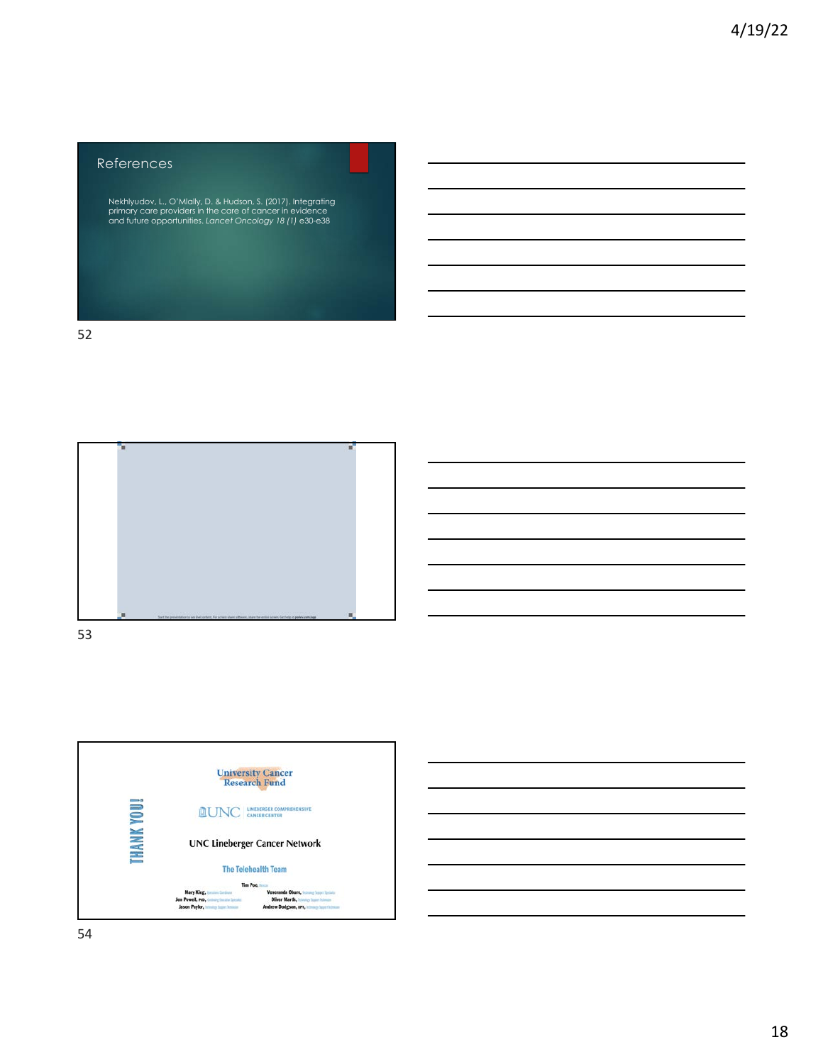# References

Nekhlyudov, L., O'Mlally, D. & Hudson, S. (2017). Integrating primary care providers in the care of cancer in evidence and future opportunities. *Lancet Oncology 18 (1)* e30-e38

52